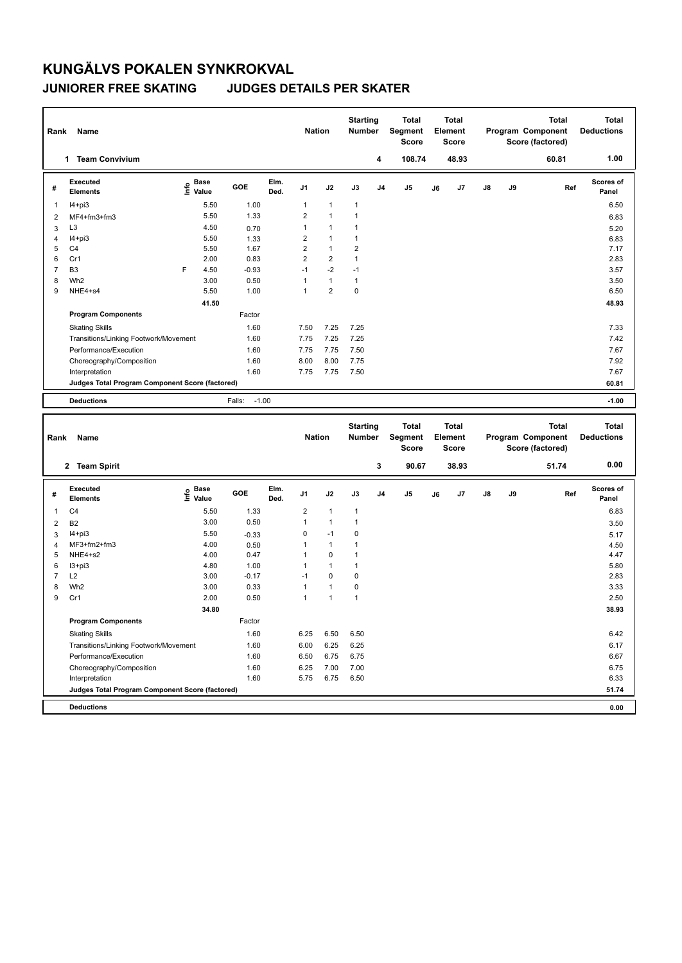## **KUNGÄLVS POKALEN SYNKROKVAL JUNIORER FREE SKATING JUDGES DETAILS PER SKATER**

| Rank                    | Name                                            |                                           |                   |              | <b>Nation</b>  |                | <b>Starting</b><br><b>Number</b> | 4              | <b>Total</b><br>Segment<br><b>Score</b><br>108.74 |    | <b>Total</b><br>Element<br><b>Score</b><br>48.93 |    |    | <b>Total</b><br>Program Component<br>Score (factored) | <b>Total</b><br><b>Deductions</b><br>1.00 |
|-------------------------|-------------------------------------------------|-------------------------------------------|-------------------|--------------|----------------|----------------|----------------------------------|----------------|---------------------------------------------------|----|--------------------------------------------------|----|----|-------------------------------------------------------|-------------------------------------------|
|                         | 1 Team Convivium                                |                                           |                   |              |                |                |                                  |                |                                                   |    |                                                  |    |    | 60.81                                                 |                                           |
| #                       | <b>Executed</b><br><b>Elements</b>              | e Base<br>⊆ Value                         | GOE               | Elm.<br>Ded. | J <sub>1</sub> | J2             | J3                               | J <sub>4</sub> | J <sub>5</sub>                                    | J6 | J7                                               | J8 | J9 | Ref                                                   | Scores of<br>Panel                        |
| 1                       | $I4+pi3$                                        | 5.50                                      | 1.00              |              | $\mathbf{1}$   | $\mathbf{1}$   | 1                                |                |                                                   |    |                                                  |    |    |                                                       | 6.50                                      |
| $\overline{2}$          | MF4+fm3+fm3                                     | 5.50                                      | 1.33              |              | $\mathbf 2$    | $\mathbf{1}$   | $\mathbf{1}$                     |                |                                                   |    |                                                  |    |    |                                                       | 6.83                                      |
| 3                       | L <sub>3</sub>                                  | 4.50                                      | 0.70              |              | $\mathbf{1}$   | $\mathbf{1}$   | $\mathbf{1}$                     |                |                                                   |    |                                                  |    |    |                                                       | 5.20                                      |
| $\overline{\mathbf{4}}$ | $I4 + pi3$                                      | 5.50                                      | 1.33              |              | $\overline{2}$ | $\mathbf{1}$   | 1                                |                |                                                   |    |                                                  |    |    |                                                       | 6.83                                      |
| 5                       | C <sub>4</sub>                                  | 5.50                                      | 1.67              |              | $\overline{2}$ | $\mathbf{1}$   | $\overline{\mathbf{c}}$          |                |                                                   |    |                                                  |    |    |                                                       | 7.17                                      |
| 6                       | Cr1                                             | 2.00                                      | 0.83              |              | $\overline{2}$ | $\overline{2}$ | $\mathbf{1}$                     |                |                                                   |    |                                                  |    |    |                                                       | 2.83                                      |
| $\overline{7}$          | B <sub>3</sub>                                  | F<br>4.50                                 | $-0.93$           |              | $-1$           | $-2$           | $-1$                             |                |                                                   |    |                                                  |    |    |                                                       | 3.57                                      |
| 8                       | Wh <sub>2</sub>                                 | 3.00                                      | 0.50              |              | 1              | $\mathbf{1}$   | $\mathbf{1}$                     |                |                                                   |    |                                                  |    |    |                                                       | 3.50                                      |
| 9                       | NHE4+s4                                         | 5.50                                      | 1.00              |              | $\mathbf{1}$   | $\overline{2}$ | 0                                |                |                                                   |    |                                                  |    |    |                                                       | 6.50                                      |
|                         |                                                 | 41.50                                     |                   |              |                |                |                                  |                |                                                   |    |                                                  |    |    |                                                       | 48.93                                     |
|                         | <b>Program Components</b>                       |                                           | Factor            |              |                |                |                                  |                |                                                   |    |                                                  |    |    |                                                       |                                           |
|                         | <b>Skating Skills</b>                           |                                           | 1.60              |              | 7.50           | 7.25           | 7.25                             |                |                                                   |    |                                                  |    |    |                                                       | 7.33                                      |
|                         | Transitions/Linking Footwork/Movement           |                                           | 1.60              |              | 7.75           | 7.25           | 7.25                             |                |                                                   |    |                                                  |    |    |                                                       | 7.42                                      |
|                         | Performance/Execution                           |                                           | 1.60              |              | 7.75           | 7.75           | 7.50                             |                |                                                   |    |                                                  |    |    |                                                       | 7.67                                      |
|                         | Choreography/Composition                        |                                           | 1.60              |              | 8.00           | 8.00           | 7.75                             |                |                                                   |    |                                                  |    |    |                                                       | 7.92                                      |
|                         | Interpretation                                  |                                           | 1.60              |              | 7.75           | 7.75           | 7.50                             |                |                                                   |    |                                                  |    |    |                                                       | 7.67                                      |
|                         | Judges Total Program Component Score (factored) |                                           |                   |              |                |                |                                  |                |                                                   |    |                                                  |    |    |                                                       | 60.81                                     |
|                         | <b>Deductions</b>                               |                                           |                   |              |                |                |                                  |                |                                                   |    |                                                  |    |    |                                                       |                                           |
|                         |                                                 |                                           |                   |              |                |                |                                  |                |                                                   |    |                                                  |    |    |                                                       |                                           |
|                         |                                                 |                                           | $-1.00$<br>Falls: |              |                |                |                                  |                |                                                   |    |                                                  |    |    |                                                       | $-1.00$                                   |
| Rank                    | Name                                            |                                           |                   |              | <b>Nation</b>  |                | <b>Starting</b><br><b>Number</b> |                | <b>Total</b><br>Segment<br><b>Score</b>           |    | <b>Total</b><br>Element<br><b>Score</b>          |    |    | <b>Total</b><br>Program Component<br>Score (factored) | <b>Total</b><br><b>Deductions</b>         |
|                         | 2 Team Spirit                                   |                                           |                   |              |                |                |                                  | 3              | 90.67                                             |    | 38.93                                            |    |    | 51.74                                                 | 0.00                                      |
| #                       | <b>Executed</b><br><b>Elements</b>              | $\frac{e}{E}$ Base<br>$\frac{E}{E}$ Value | GOE               | Elm.<br>Ded. | J <sub>1</sub> | J2             | J3                               | J4             | J <sub>5</sub>                                    | J6 | J7                                               | J8 | J9 | Ref                                                   | <b>Scores of</b><br>Panel                 |
| 1                       | C <sub>4</sub>                                  | 5.50                                      | 1.33              |              | $\overline{2}$ | $\mathbf{1}$   | 1                                |                |                                                   |    |                                                  |    |    |                                                       | 6.83                                      |
| $\overline{2}$          | <b>B2</b>                                       | 3.00                                      | 0.50              |              | $\mathbf{1}$   | $\mathbf{1}$   | $\mathbf{1}$                     |                |                                                   |    |                                                  |    |    |                                                       | 3.50                                      |
| 3                       | $I4 + pi3$                                      | 5.50                                      | $-0.33$           |              | $\mathbf 0$    | $-1$           | 0                                |                |                                                   |    |                                                  |    |    |                                                       | 5.17                                      |
| $\overline{4}$          | MF3+fm2+fm3                                     | 4.00                                      | 0.50              |              | 1              | $\mathbf{1}$   | $\mathbf{1}$                     |                |                                                   |    |                                                  |    |    |                                                       | 4.50                                      |
| 5                       | NHE4+s2                                         | 4.00                                      | 0.47              |              | 1              | 0              | $\mathbf{1}$                     |                |                                                   |    |                                                  |    |    |                                                       | 4.47                                      |
| 6                       | $13 + pi3$                                      | 4.80                                      | 1.00              |              | 1              | $\mathbf{1}$   | 1                                |                |                                                   |    |                                                  |    |    |                                                       | 5.80                                      |
| $\overline{7}$          | L2                                              | 3.00                                      | $-0.17$           |              | $-1$           | 0              | 0                                |                |                                                   |    |                                                  |    |    |                                                       | 2.83                                      |
| 8                       | Wh <sub>2</sub>                                 | 3.00                                      | 0.33              |              | $\mathbf{1}$   | 1              | 0                                |                |                                                   |    |                                                  |    |    |                                                       | 3.33                                      |
| 9                       | Cr1                                             | 2.00                                      | 0.50              |              | $\mathbf{1}$   | $\mathbf{1}$   | $\mathbf{1}$                     |                |                                                   |    |                                                  |    |    |                                                       | 2.50                                      |
|                         |                                                 | 34.80                                     |                   |              |                |                |                                  |                |                                                   |    |                                                  |    |    |                                                       | 38.93                                     |
|                         | <b>Program Components</b>                       |                                           | Factor            |              |                |                |                                  |                |                                                   |    |                                                  |    |    |                                                       |                                           |
|                         | <b>Skating Skills</b>                           |                                           | 1.60              |              | 6.25           | 6.50           | 6.50                             |                |                                                   |    |                                                  |    |    |                                                       | 6.42                                      |
|                         | Transitions/Linking Footwork/Movement           |                                           | 1.60              |              | 6.00           | 6.25           | 6.25                             |                |                                                   |    |                                                  |    |    |                                                       | 6.17                                      |
|                         | Performance/Execution                           |                                           | 1.60              |              | 6.50           | 6.75           | 6.75                             |                |                                                   |    |                                                  |    |    |                                                       | 6.67                                      |
|                         | Choreography/Composition                        |                                           | 1.60              |              | 6.25           | 7.00           | 7.00                             |                |                                                   |    |                                                  |    |    |                                                       | 6.75                                      |

**Judges Total Program Component Score (factored) 51.74**

**Deductions 0.00**